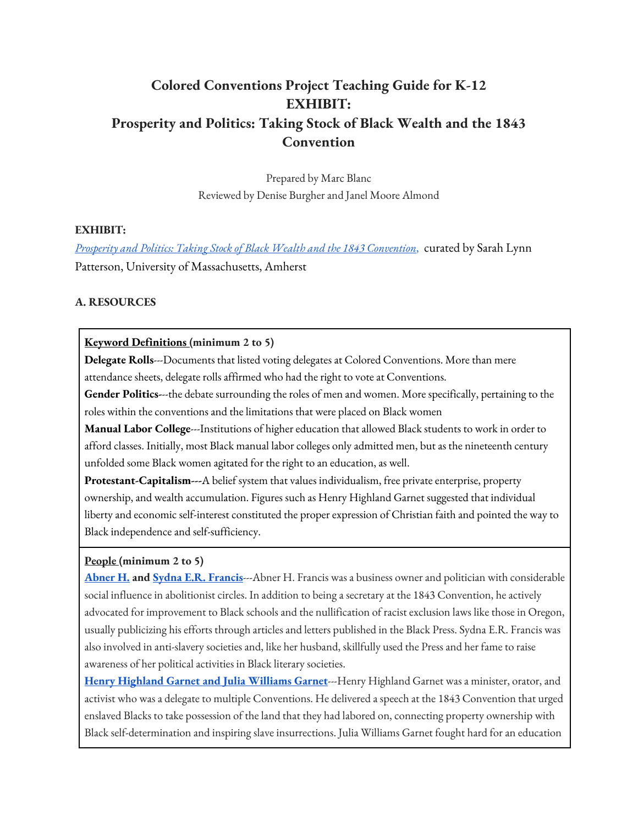# **Colored Conventions Project Teaching Guide for K-12 EXHIBIT: Prosperity and Politics: Taking Stock of Black Wealth and the 1843 Convention**

Prepared by Marc Blanc Reviewed by Denise Burgher and Janel Moore Almond

# **EXHIBIT:**

*Prosperity and Politics: Taking Stock of Black Wealth and the 1843 Convention*, curated by Sarah Lynn Patterson, University of Massachusetts, Amherst

# **A. RESOURCES**

#### **Keyword Definitions (minimum 2 to 5)**

**Delegate Rolls**---Documents that listed voting delegates at Colored Conventions. More than mere attendance sheets, delegate rolls affirmed who had the right to vote at Conventions.

**Gender Politics-**--the debate surrounding the roles of men and women. More specifically, pertaining to the roles within the conventions and the limitations that were placed on Black women

**Manual Labor College**---Institutions of higher education that allowed Black students to work in order to afford classes. Initially, most Black manual labor colleges only admitted men, but as the nineteenth century unfolded some Black women agitated for the right to an education, as well.

**Protestant-Capitalism---**A belief system that values individualism, free private enterprise, property ownership, and wealth accumulation. Figures such as Henry Highland Garnet suggested that individual liberty and economic self-interest constituted the proper expression of Christian faith and pointed the way to Black independence and self-sufficiency.

# **People (minimum 2 to 5)**

**Abner H. and Sydna E.R. Francis**---Abner H. Francis was a business owner and politician with considerable social influence in abolitionist circles. In addition to being a secretary at the 1843 Convention, he actively advocated for improvement to Black schools and the nullification of racist exclusion laws like those in Oregon, usually publicizing his efforts through articles and letters published in the Black Press. Sydna E.R. Francis was also involved in anti-slavery societies and, like her husband, skillfully used the Press and her fame to raise awareness of her political activities in Black literary societies.

**Henry Highland Garnet and Julia Williams Garnet**---Henry Highland Garnet was a minister, orator, and activist who was a delegate to multiple Conventions. He delivered a speech at the 1843 Convention that urged enslaved Blacks to take possession of the land that they had labored on, connecting property ownership with Black self-determination and inspiring slave insurrections. Julia Williams Garnet fought hard for an education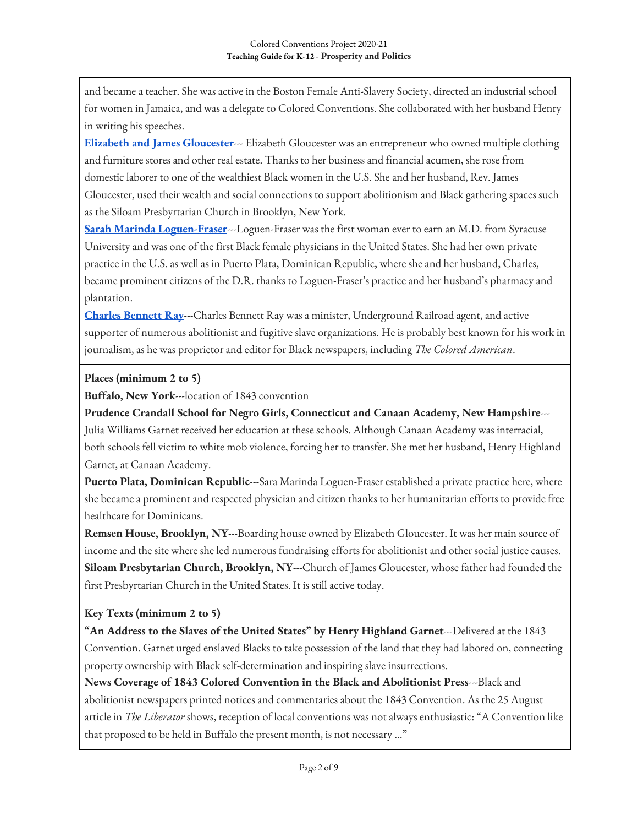and became a teacher. She was active in the Boston Female Anti-Slavery Society, directed an industrial school for women in Jamaica, and was a delegate to Colored Conventions. She collaborated with her husband Henry in writing his speeches.

**Elizabeth and James Gloucester**--- Elizabeth Gloucester was an entrepreneur who owned multiple clothing and furniture stores and other real estate. Thanks to her business and financial acumen, she rose from domestic laborer to one of the wealthiest Black women in the U.S. She and her husband, Rev. James Gloucester, used their wealth and social connections to support abolitionism and Black gathering spaces such as the Siloam Presbyrtarian Church in Brooklyn, New York.

**Sarah Marinda Loguen-Fraser**---Loguen-Fraser was the first woman ever to earn an M.D. from Syracuse University and was one of the first Black female physicians in the United States. She had her own private practice in the U.S. as well as in Puerto Plata, Dominican Republic, where she and her husband, Charles, became prominent citizens of the D.R. thanks to Loguen-Fraser's practice and her husband's pharmacy and plantation.

**Charles Bennett Ray**---Charles Bennett Ray was a minister, Underground Railroad agent, and active supporter of numerous abolitionist and fugitive slave organizations. He is probably best known for his work in journalism, as he was proprietor and editor for Black newspapers, including *The Colored American*.

# **Places (minimum 2 to 5)**

**Buffalo, New York**---location of 1843 convention

**Prudence Crandall School for Negro Girls, Connecticut and Canaan Academy, New Hampshire**--- Julia Williams Garnet received her education at these schools. Although Canaan Academy was interracial, both schools fell victim to white mob violence, forcing her to transfer. She met her husband, Henry Highland Garnet, at Canaan Academy.

Puerto Plata, Dominican Republic---Sara Marinda Loguen-Fraser established a private practice here, where she became a prominent and respected physician and citizen thanks to her humanitarian efforts to provide free healthcare for Dominicans.

**Remsen House, Brooklyn, NY**---Boarding house owned by Elizabeth Gloucester. It was her main source of income and the site where she led numerous fundraising efforts for abolitionist and other social justice causes. **Siloam Presbytarian Church, Brooklyn, NY**---Church of James Gloucester, whose father had founded the first Presbyrtarian Church in the United States. It is still active today.

# **Key Texts (minimum 2 to 5)**

**"An Address to the Slaves of the United States" by Henry Highland Garnet**---Delivered at the 1843 Convention. Garnet urged enslaved Blacks to take possession of the land that they had labored on, connecting property ownership with Black self-determination and inspiring slave insurrections.

**News Coverage of 1843 Colored Convention in the Black and Abolitionist Press**---Black and abolitionist newspapers printed notices and commentaries about the 1843 Convention. As the 25 August article in *The Liberator* shows, reception of local conventions was not always enthusiastic: "A Convention like that proposed to be held in Buffalo the present month, is not necessary …"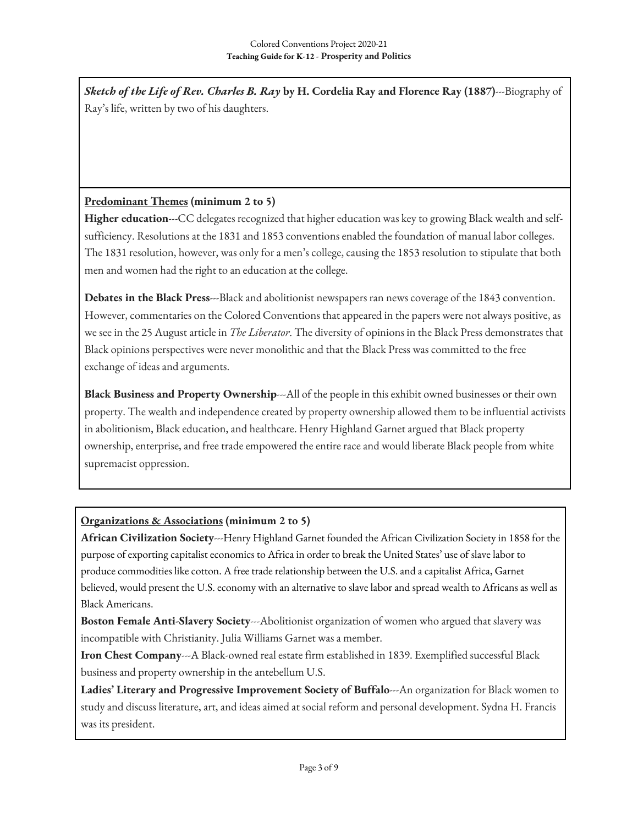*Sketch of the Life of Rev. Charles B. Ray* **by H. Cordelia Ray and Florence Ray (1887)**---Biography of Ray's life, written by two of his daughters.

# **Predominant Themes (minimum 2 to 5)**

**Higher education**---CC delegates recognized that higher education was key to growing Black wealth and selfsufficiency. Resolutions at the 1831 and 1853 conventions enabled the foundation of manual labor colleges. The 1831 resolution, however, was only for a men's college, causing the 1853 resolution to stipulate that both men and women had the right to an education at the college.

**Debates in the Black Press**---Black and abolitionist newspapers ran news coverage of the 1843 convention. However, commentaries on the Colored Conventions that appeared in the papers were not always positive, as we see in the 25 August article in *The Liberator*. The diversity of opinions in the Black Press demonstrates that Black opinions perspectives were never monolithic and that the Black Press was committed to the free exchange of ideas and arguments.

**Black Business and Property Ownership**---All of the people in this exhibit owned businesses or their own property. The wealth and independence created by property ownership allowed them to be influential activists in abolitionism, Black education, and healthcare. Henry Highland Garnet argued that Black property ownership, enterprise, and free trade empowered the entire race and would liberate Black people from white supremacist oppression.

# **Organizations & Associations (minimum 2 to 5)**

**African Civilization Society**---Henry Highland Garnet founded the African Civilization Society in 1858 for the purpose of exporting capitalist economics to Africa in order to break the United States' use of slave labor to produce commodities like cotton. A free trade relationship between the U.S. and a capitalist Africa, Garnet believed, would present the U.S. economy with an alternative to slave labor and spread wealth to Africans as well as Black Americans.

**Boston Female Anti-Slavery Society**---Abolitionist organization of women who argued that slavery was incompatible with Christianity. Julia Williams Garnet was a member.

**Iron Chest Company**---A Black-owned real estate firm established in 1839. Exemplified successful Black business and property ownership in the antebellum U.S.

**Ladies' Literary and Progressive Improvement Society of Buffalo**---An organization for Black women to study and discuss literature, art, and ideas aimed at social reform and personal development. Sydna H. Francis was its president.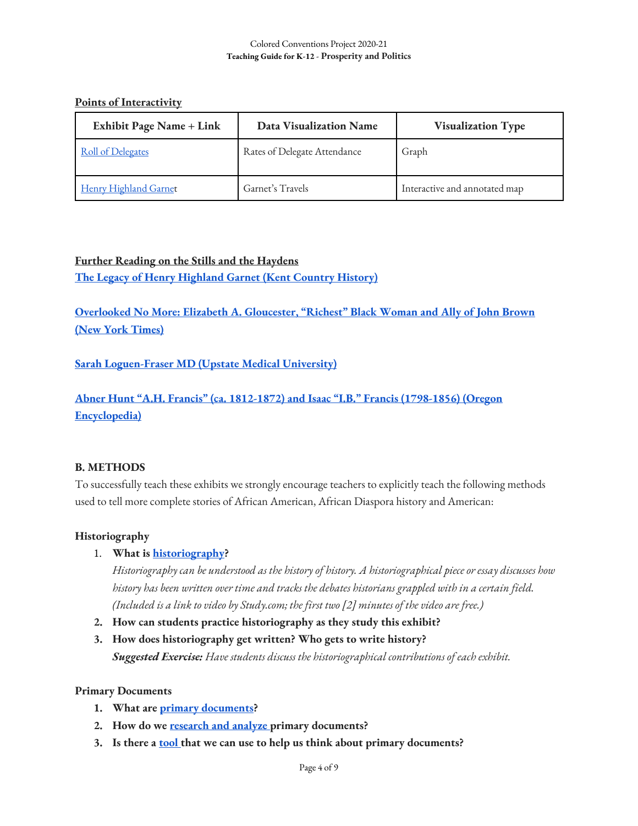### **Points of Interactivity**

| <b>Exhibit Page Name + Link</b> | Data Visualization Name      | <b>Visualization Type</b>     |
|---------------------------------|------------------------------|-------------------------------|
| <b>Roll of Delegates</b>        | Rates of Delegate Attendance | Graph                         |
| Henry Highland Garnet           | Garnet's Travels             | Interactive and annotated map |

# **Further Reading on the Stills and the Haydens The Legacy of Henry Highland Garnet (Kent Country History)**

**Overlooked No More: Elizabeth A. Gloucester, "Richest" Black Woman and Ally of John Brown (New York Times)**

# **Sarah Loguen-Fraser MD (Upstate Medical University)**

**Abner Hunt "A.H. Francis" (ca. 1812-1872) and Isaac "I.B." Francis (1798-1856) (Oregon Encyclopedia)**

# **B. METHODS**

To successfully teach these exhibits we strongly encourage teachers to explicitly teach the following methods used to tell more complete stories of African American, African Diaspora history and American:

# **Historiography**

1. **What is historiography?**

*Historiography can be understood as the history of history. A historiographical piece or essay discusses how history has been written over time and tracks the debates historians grappled with in a certain field. (Included is a link to video by Study.com; the first two [2] minutes of the video are free.)*

- **2. How can students practice historiography as they study this exhibit?**
- **3. How does historiography get written? Who gets to write history?** *Suggested Exercise: Have students discuss the historiographical contributions of each exhibit.*

# **Primary Documents**

- **1. What are primary documents?**
- **2. How do we research and analyze primary documents?**
- **3. Is there a tool that we can use to help us think about primary documents?**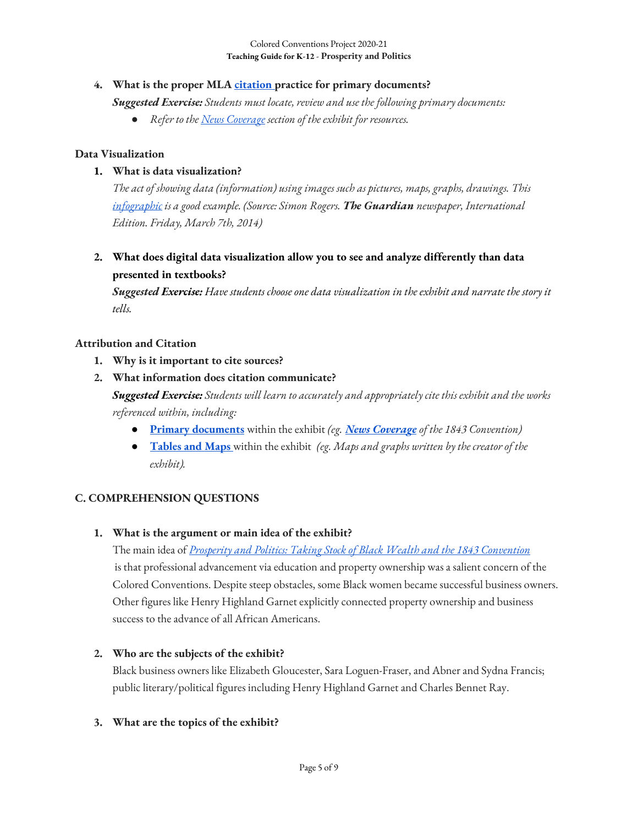### **4. What is the proper MLA citation practice for primary documents?**

*Suggested Exercise: Students must locate, review and use the following primary documents:*

● *Refer to the News Coverage section of the exhibit for resources.* 

### **Data Visualization**

### **1. What is data visualization?**

*The act of showing data (information) using images such as pictures, maps, graphs, drawings. This infographic is a good example. (Source: Simon Rogers. The Guardian newspaper, International Edition. Friday, March 7th, 2014)*

**2. What does digital data visualization allow you to see and analyze differently than data presented in textbooks?**

*Suggested Exercise: Have students choose one data visualization in the exhibit and narrate the story it tells.*

#### **Attribution and Citation**

- **1. Why is it important to cite sources?**
- **2. What information does citation communicate?**

*Suggested Exercise: Students will learn to accurately and appropriately cite this exhibit and the works referenced within, including:* 

- **Primary documents** within the exhibit *(eg. News Coverage of the 1843 Convention)*
- **Tables and Maps** within the exhibit*(eg. Maps and graphs written by the creator of the exhibit).*

# **C. COMPREHENSION QUESTIONS**

#### **1. What is the argument or main idea of the exhibit?**

The main idea of *Prosperity and Politics: Taking Stock of Black Wealth and the 1843 Convention* is that professional advancement via education and property ownership was a salient concern of the Colored Conventions. Despite steep obstacles, some Black women became successful business owners. Other figures like Henry Highland Garnet explicitly connected property ownership and business success to the advance of all African Americans.

# **2. Who are the subjects of the exhibit?**

Black business owners like Elizabeth Gloucester, Sara Loguen-Fraser, and Abner and Sydna Francis; public literary/political figures including Henry Highland Garnet and Charles Bennet Ray.

### **3. What are the topics of the exhibit?**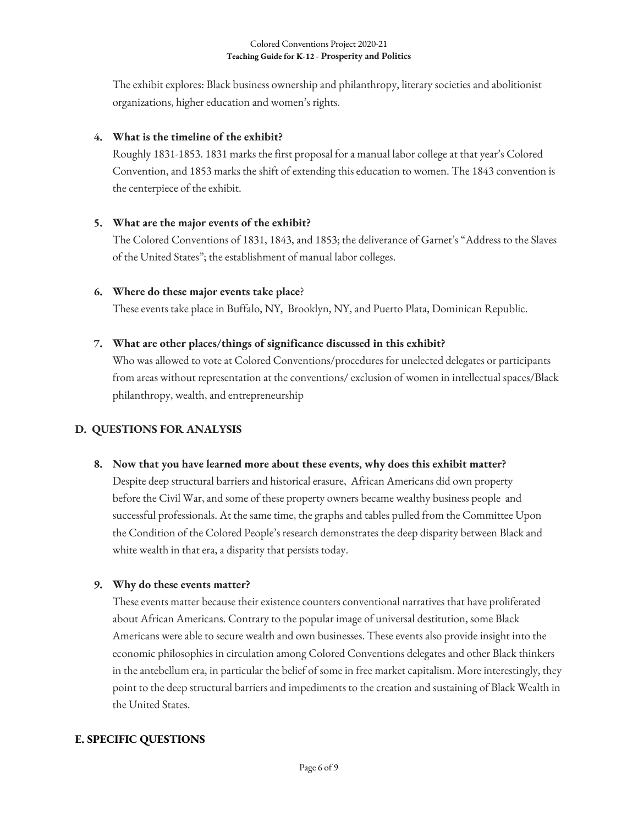The exhibit explores: Black business ownership and philanthropy, literary societies and abolitionist organizations, higher education and women's rights.

# **4. What is the timeline of the exhibit?**

Roughly 1831-1853. 1831 marks the first proposal for a manual labor college at that year's Colored Convention, and 1853 marks the shift of extending this education to women. The 1843 convention is the centerpiece of the exhibit.

# **5. What are the major events of the exhibit?**

The Colored Conventions of 1831, 1843, and 1853; the deliverance of Garnet's "Address to the Slaves of the United States"; the establishment of manual labor colleges.

# **6. Where do these major events take place**?

These events take place in Buffalo, NY, Brooklyn, NY, and Puerto Plata, Dominican Republic.

# **7. What are other places/things of significance discussed in this exhibit?**

Who was allowed to vote at Colored Conventions/procedures for unelected delegates or participants from areas without representation at the conventions/ exclusion of women in intellectual spaces/Black philanthropy, wealth, and entrepreneurship

# **D. QUESTIONS FOR ANALYSIS**

# **8. Now that you have learned more about these events, why does this exhibit matter?**

Despite deep structural barriers and historical erasure, African Americans did own property before the Civil War, and some of these property owners became wealthy business people and successful professionals. At the same time, the graphs and tables pulled from the Committee Upon the Condition of the Colored People's research demonstrates the deep disparity between Black and white wealth in that era, a disparity that persists today.

# **9. Why do these events matter?**

These events matter because their existence counters conventional narratives that have proliferated about African Americans. Contrary to the popular image of universal destitution, some Black Americans were able to secure wealth and own businesses. These events also provide insight into the economic philosophies in circulation among Colored Conventions delegates and other Black thinkers in the antebellum era, in particular the belief of some in free market capitalism. More interestingly, they point to the deep structural barriers and impediments to the creation and sustaining of Black Wealth in the United States.

# **E. SPECIFIC QUESTIONS**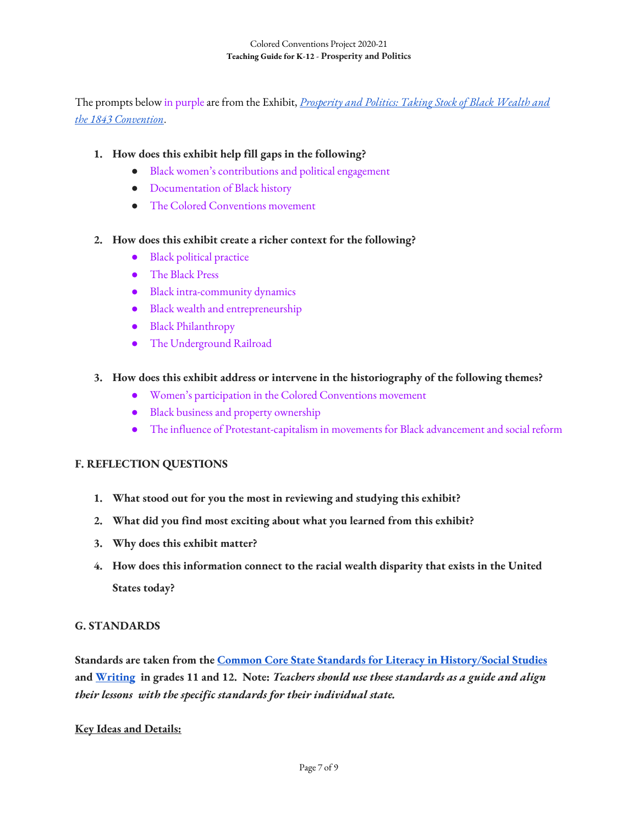The prompts below in purple are from the Exhibit, *Prosperity and Politics: Taking Stock of Black Wealth and the 1843 Convention*.

### **1. How does this exhibit help fill gaps in the following?**

- Black women's contributions and political engagement
- Documentation of Black history
- The Colored Conventions movement

#### **2. How does this exhibit create a richer context for the following?**

- Black political practice
- The Black Press
- Black intra-community dynamics
- Black wealth and entrepreneurship
- Black Philanthropy
- The Underground Railroad

### **3. How does this exhibit address or intervene in the historiography of the following themes?**

- Women's participation in the Colored Conventions movement
- Black business and property ownership
- The influence of Protestant-capitalism in movements for Black advancement and social reform

#### **F. REFLECTION QUESTIONS**

- **1. What stood out for you the most in reviewing and studying this exhibit?**
- **2. What did you find most exciting about what you learned from this exhibit?**
- **3. Why does this exhibit matter?**
- **4. How does this information connect to the racial wealth disparity that exists in the United States today?**

#### **G. STANDARDS**

**Standards are taken from the Common Core State Standards for Literacy in History/Social Studies and Writing in grades 11 and 12. Note:** *Teachers should use these standards as a guide and align their lessons with the specific standards for their individual state.* 

#### **Key Ideas and Details:**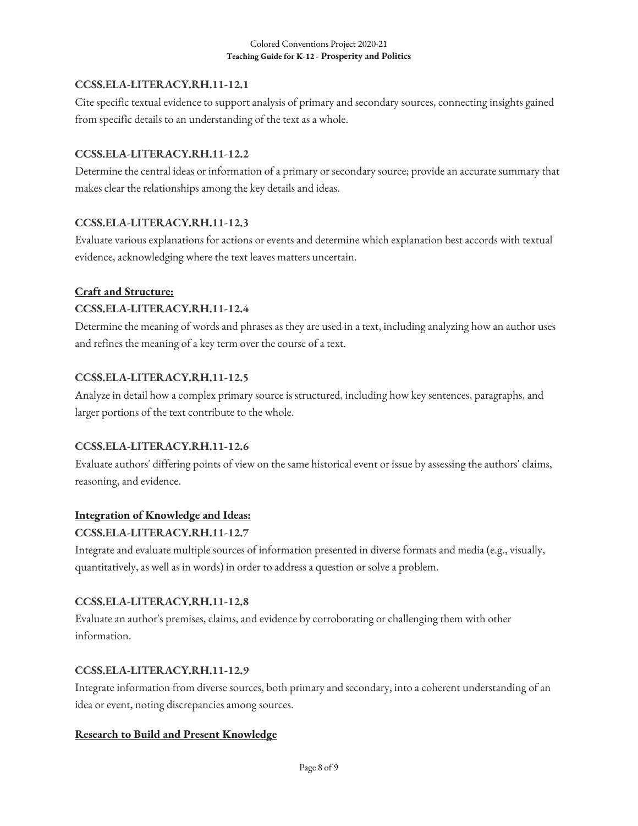# **CCSS.ELA-LITERACY.RH.11-12.1**

Cite specific textual evidence to support analysis of primary and secondary sources, connecting insights gained from specific details to an understanding of the text as a whole.

# **CCSS.ELA-LITERACY.RH.11-12.2**

Determine the central ideas or information of a primary or secondary source; provide an accurate summary that makes clear the relationships among the key details and ideas.

# **CCSS.ELA-LITERACY.RH.11-12.3**

Evaluate various explanations for actions or events and determine which explanation best accords with textual evidence, acknowledging where the text leaves matters uncertain.

# **Craft and Structure:**

# **CCSS.ELA-LITERACY.RH.11-12.4**

Determine the meaning of words and phrases as they are used in a text, including analyzing how an author uses and refines the meaning of a key term over the course of a text.

# **CCSS.ELA-LITERACY.RH.11-12.5**

Analyze in detail how a complex primary source is structured, including how key sentences, paragraphs, and larger portions of the text contribute to the whole.

# **CCSS.ELA-LITERACY.RH.11-12.6**

Evaluate authors' differing points of view on the same historical event or issue by assessing the authors' claims, reasoning, and evidence.

# **Integration of Knowledge and Ideas:**

# **CCSS.ELA-LITERACY.RH.11-12.7**

Integrate and evaluate multiple sources of information presented in diverse formats and media (e.g., visually, quantitatively, as well as in words) in order to address a question or solve a problem.

# **CCSS.ELA-LITERACY.RH.11-12.8**

Evaluate an author's premises, claims, and evidence by corroborating or challenging them with other information.

# **CCSS.ELA-LITERACY.RH.11-12.9**

Integrate information from diverse sources, both primary and secondary, into a coherent understanding of an idea or event, noting discrepancies among sources.

# **Research to Build and Present Knowledge**